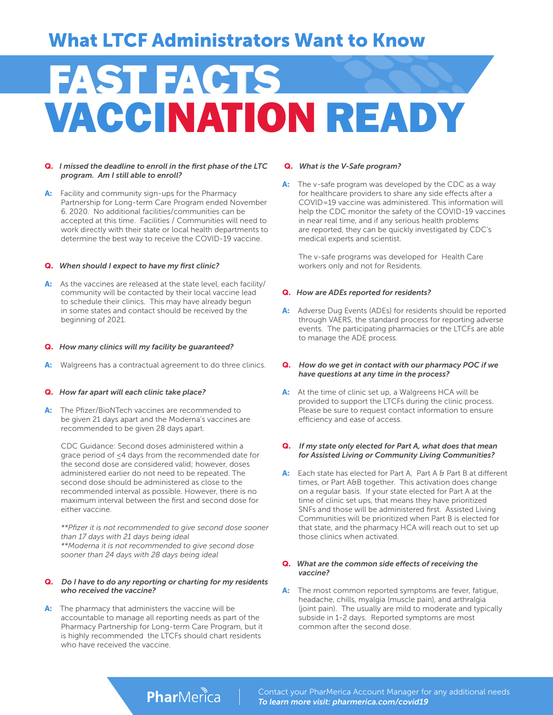## What LTCF Administrators Want to Know

# FAST FACTS<br>VACCINATION READY

#### Q. *I missed the deadline to enroll in the first phase of the LTC program. Am I still able to enroll?*

A: Facility and community sign-ups for the Pharmacy Partnership for Long-term Care Program ended November 6. 2020. No additional facilities/communities can be accepted at this time. Facilities / Communities will need to work directly with their state or local health departments to determine the best way to receive the COVID-19 vaccine.

#### Q. *When should I expect to have my first clinic?*

A: As the vaccines are released at the state level, each facility/ community will be contacted by their local vaccine lead to schedule their clinics. This may have already begun in some states and contact should be received by the beginning of 2021.

#### Q. *How many clinics will my facility be guaranteed?*

A: Walgreens has a contractual agreement to do three clinics.

#### Q. *How far apart will each clinic take place?*

A: The Pfizer/BioNTech vaccines are recommended to be given 21 days apart and the Moderna's vaccines are recommended to be given 28 days apart.

CDC Guidance: Second doses administered within a grace period of ≤4 days from the recommended date for the second dose are considered valid; however, doses administered earlier do not need to be repeated. The second dose should be administered as close to the recommended interval as possible. However, there is no maximum interval between the first and second dose for either vaccine.

*\*\*Pfizer it is not recommended to give second dose sooner than 17 days with 21 days being ideal \*\*Moderna it is not recommended to give second dose sooner than 24 days with 28 days being ideal*

#### Q. *Do I have to do any reporting or charting for my residents who received the vaccine?*

A: The pharmacy that administers the vaccine will be accountable to manage all reporting needs as part of the Pharmacy Partnership for Long-term Care Program, but it is highly recommended the LTCFs should chart residents who have received the vaccine.

#### Q. *What is the V-Safe program?*

A: The v-safe program was developed by the CDC as a way for healthcare providers to share any side effects after a COVID=19 vaccine was administered. This information will help the CDC monitor the safety of the COVID-19 vaccines in near real time, and if any serious health problems are reported, they can be quickly investigated by CDC's medical experts and scientist.

The v-safe programs was developed for Health Care workers only and not for Residents.

#### Q. *How are ADEs reported for residents?*

- A: Adverse Dug Events (ADEs) for residents should be reported through VAERS, the standard process for reporting adverse events. The participating pharmacies or the LTCFs are able to manage the ADE process.
- Q. *How do we get in contact with our pharmacy POC if we have questions at any time in the process?*
- A: At the time of clinic set up, a Walgreens HCA will be provided to support the LTCFs during the clinic process. Please be sure to request contact information to ensure efficiency and ease of access.
- Q. *If my state only elected for Part A, what does that mean for Assisted Living or Community Living Communities?*
- A: Each state has elected for Part A, Part A & Part B at different times, or Part A&B together. This activation does change on a regular basis. If your state elected for Part A at the time of clinic set ups, that means they have prioritized SNFs and those will be administered first. Assisted Living Communities will be prioritized when Part B is elected for that state, and the pharmacy HCA will reach out to set up those clinics when activated.

#### Q. *What are the common side effects of receiving the vaccine?*

A: The most common reported symptoms are fever, fatigue, headache, chills, myalgia (muscle pain), and arthralgia (joint pain). The usually are mild to moderate and typically subside in 1-2 days. Reported symptoms are most common after the second dose.